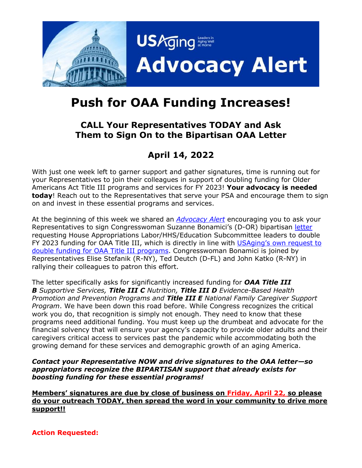

## **Push for OAA Funding Increases!**

## **CALL Your Representatives TODAY and Ask Them to Sign On to the Bipartisan OAA Letter**

## **April 14, 2022**

With just one week left to garner support and gather signatures, time is running out for your Representatives to join their colleagues in support of doubling funding for Older Americans Act Title III programs and services for FY 2023! **Your advocacy is needed today**! Reach out to the Representatives that serve your PSA and encourage them to sign on and invest in these essential programs and services.

At the beginning of this week we shared an *[Advocacy Alert](https://www.usaging.org/content.asp?admin=Y&contentid=1411)* encouraging you to ask your Representatives to sign Congresswoman Suzanne Bonamici's (D-OR) bipartisan [letter](https://www.usaging.org/Files/OAA_DEAR%20COLLEAGUE_FY23.pdf) requesting House Appropriations Labor/HHS/Education Subcommittee leaders to double FY 2023 funding for OAA Title III, which is directly in line with USAging's own request to [double funding for OAA Title III programs.](https://www.usaging.org/Files/2022%20Policy%20Priorities.pdf#page=6) Congresswoman Bonamici is joined by Representatives Elise Stefanik (R-NY), Ted Deutch (D-FL) and John Katko (R-NY) in rallying their colleagues to patron this effort.

The letter specifically asks for significantly increased funding for *OAA Title III B Supportive Services, Title III C Nutrition, Title III D Evidence-Based Health Promotion and Prevention Programs and Title III E National Family Caregiver Support Program*. We have been down this road before. While Congress recognizes the critical work you do, that recognition is simply not enough. They need to know that these programs need additional funding. You must keep up the drumbeat and advocate for the financial solvency that will ensure your agency's capacity to provide older adults and their caregivers critical access to services past the pandemic while accommodating both the growing demand for these services and demographic growth of an aging America.

*Contact your Representative NOW and drive signatures to the OAA letter—so appropriators recognize the BIPARTISAN support that already exists for boosting funding for these essential programs!*

**Members' signatures are due by close of business on Friday, April 22, so please do your outreach TODAY, then spread the word in your community to drive more support!!**

**Action Requested:**